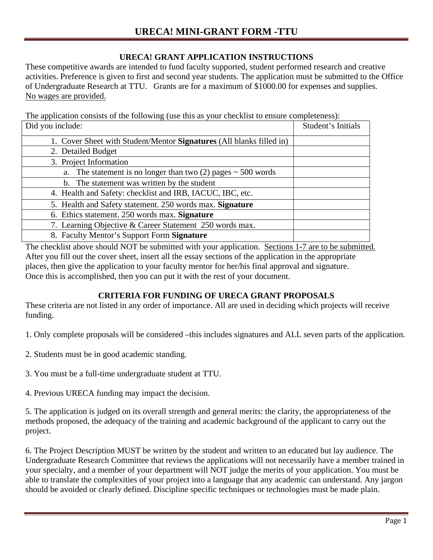# **URECA! GRANT APPLICATION INSTRUCTIONS**

These competitive awards are intended to fund faculty supported, student performed research and creative activities. Preference is given to first and second year students. The application must be submitted to the Office of Undergraduate Research at TTU. Grants are for a maximum of \$1000.00 for expenses and supplies. No wages are provided.

The application consists of the following (use this as your checklist to ensure completeness):

| Did you include:                                                     | Student's Initials |
|----------------------------------------------------------------------|--------------------|
| 1. Cover Sheet with Student/Mentor Signatures (All blanks filled in) |                    |
| 2. Detailed Budget                                                   |                    |
| 3. Project Information                                               |                    |
| a. The statement is no longer than two $(2)$ pages $\sim$ 500 words  |                    |
| b. The statement was written by the student                          |                    |
| 4. Health and Safety: checklist and IRB, IACUC, IBC, etc.            |                    |
| 5. Health and Safety statement. 250 words max. Signature             |                    |
| 6. Ethics statement. 250 words max. Signature                        |                    |
| 7. Learning Objective & Career Statement 250 words max.              |                    |
| 8. Faculty Mentor's Support Form Signature                           |                    |

The checklist above should NOT be submitted with your application. Sections 1-7 are to be submitted. After you fill out the cover sheet, insert all the essay sections of the application in the appropriate places, then give the application to your faculty mentor for her/his final approval and signature. Once this is accomplished, then you can put it with the rest of your document.

## **CRITERIA FOR FUNDING OF URECA GRANT PROPOSALS**

These criteria are not listed in any order of importance. All are used in deciding which projects will receive funding.

1. Only complete proposals will be considered –this includes signatures and ALL seven parts of the application.

- 2. Students must be in good academic standing.
- 3. You must be a full-time undergraduate student at TTU.
- 4. Previous URECA funding may impact the decision.

5. The application is judged on its overall strength and general merits: the clarity, the appropriateness of the methods proposed, the adequacy of the training and academic background of the applicant to carry out the project.

6. The Project Description MUST be written by the student and written to an educated but lay audience. The Undergraduate Research Committee that reviews the applications will not necessarily have a member trained in your specialty, and a member of your department will NOT judge the merits of your application. You must be able to translate the complexities of your project into a language that any academic can understand. Any jargon should be avoided or clearly defined. Discipline specific techniques or technologies must be made plain.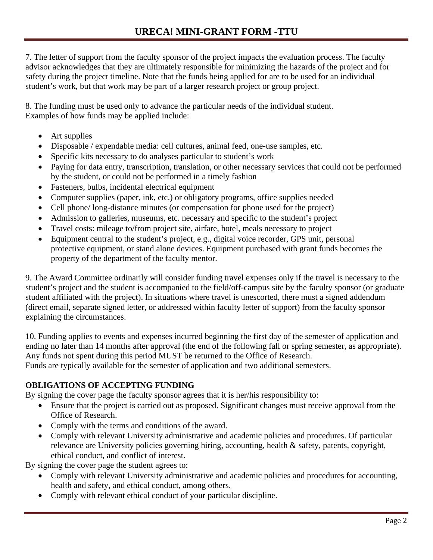7. The letter of support from the faculty sponsor of the project impacts the evaluation process. The faculty advisor acknowledges that they are ultimately responsible for minimizing the hazards of the project and for safety during the project timeline. Note that the funds being applied for are to be used for an individual student's work, but that work may be part of a larger research project or group project.

8. The funding must be used only to advance the particular needs of the individual student. Examples of how funds may be applied include:

- Art supplies
- Disposable / expendable media: cell cultures, animal feed, one-use samples, etc.
- Specific kits necessary to do analyses particular to student's work
- Paying for data entry, transcription, translation, or other necessary services that could not be performed by the student, or could not be performed in a timely fashion
- Fasteners, bulbs, incidental electrical equipment
- Computer supplies (paper, ink, etc.) or obligatory programs, office supplies needed
- Cell phone/ long-distance minutes (or compensation for phone used for the project)
- Admission to galleries, museums, etc. necessary and specific to the student's project
- Travel costs: mileage to/from project site, airfare, hotel, meals necessary to project
- Equipment central to the student's project, e.g., digital voice recorder, GPS unit, personal protective equipment, or stand alone devices. Equipment purchased with grant funds becomes the property of the department of the faculty mentor.

9. The Award Committee ordinarily will consider funding travel expenses only if the travel is necessary to the student's project and the student is accompanied to the field/off-campus site by the faculty sponsor (or graduate student affiliated with the project). In situations where travel is unescorted, there must a signed addendum (direct email, separate signed letter, or addressed within faculty letter of support) from the faculty sponsor explaining the circumstances.

10. Funding applies to events and expenses incurred beginning the first day of the semester of application and ending no later than 14 months after approval (the end of the following fall or spring semester, as appropriate). Any funds not spent during this period MUST be returned to the Office of Research. Funds are typically available for the semester of application and two additional semesters.

## **OBLIGATIONS OF ACCEPTING FUNDING**

By signing the cover page the faculty sponsor agrees that it is her/his responsibility to:

- Ensure that the project is carried out as proposed. Significant changes must receive approval from the Office of Research.
- Comply with the terms and conditions of the award.
- Comply with relevant University administrative and academic policies and procedures. Of particular relevance are University policies governing hiring, accounting, health & safety, patents, copyright, ethical conduct, and conflict of interest.

By signing the cover page the student agrees to:

- Comply with relevant University administrative and academic policies and procedures for accounting, health and safety, and ethical conduct, among others.
- Comply with relevant ethical conduct of your particular discipline.